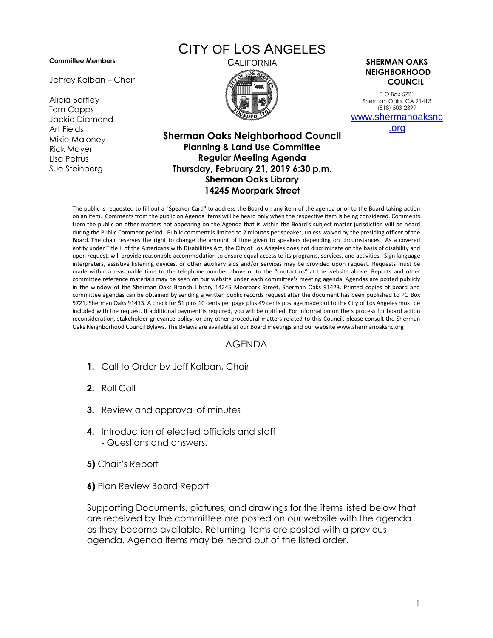## **Committee Members:**

Jeffrey Kalban – Chair

Alicia Bartley Tom Capps Jackie Diamond Art Fields Mikie Maloney Rick Mayer Lisa Petrus Sue Steinberg

## CITY OF LOS ANGELES



CALIFORNIA **SHERMAN OAKS NEIGHBORHOOD COUNCIL**

> P O Box 5721 Sherman Oaks, CA 91413 (818) 503-2399 [www.shermanoaksnc](http://www.shermanoaksnc.org/)

> > [.org](http://www.shermanoaksnc.org/)

## **Sherman Oaks Neighborhood Council Planning & Land Use Committee Regular Meeting Agenda Thursday, February 21, 2019 6:30 p.m. Sherman Oaks Library 14245 Moorpark Street**

The public is requested to fill out a "Speaker Card" to address the Board on any item of the agenda prior to the Board taking action on an item. Comments from the public on Agenda items will be heard only when the respective item is being considered. Comments from the public on other matters not appearing on the Agenda that is within the Board's subject matter jurisdiction will be heard during the Public Comment period. Public comment is limited to 2 minutes per speaker, unless waived by the presiding officer of the Board. The chair reserves the right to change the amount of time given to speakers depending on circumstances. As a covered entity under Title II of the Americans with Disabilities Act, the City of Los Angeles does not discriminate on the basis of disability and upon request, will provide reasonable accommodation to ensure equal access to its programs, services, and activities. Sign language interpreters, assistive listening devices, or other auxiliary aids and/or services may be provided upon request. Requests must be made within a reasonable time to the telephone number above or to the "contact us" at the website above. Reports and other committee reference materials may be seen on our website under each committee's meeting agenda. Agendas are posted publicly in the window of the Sherman Oaks Branch Library 14245 Moorpark Street, Sherman Oaks 91423. Printed copies of board and committee agendas can be obtained by sending a written public records request after the document has been published to PO Box 5721, Sherman Oaks 91413. A check for \$1 plus 10 cents per page plus 49 cents postage made out to the City of Los Angeles must be included with the request. If additional payment is required, you will be notified. For information on the s process for board action reconsideration, stakeholder grievance policy, or any other procedural matters related to this Council, please consult the Sherman Oaks Neighborhood Council Bylaws. The Bylaws are available at our Board meetings and our website www.shermanoaksnc.org

## AGENDA

- **1.** Call to Order by Jeff Kalban, Chair
- **2.** Roll Call
- **3.** Review and approval of minutes
- **4.** Introduction of elected officials and staff - Questions and answers.
- **5)** Chair's Report
- **6)** Plan Review Board Report

Supporting Documents, pictures, and drawings for the items listed below that are received by the committee are posted on our website with the agenda as they become available. Returning items are posted with a previous agenda. Agenda items may be heard out of the listed order.